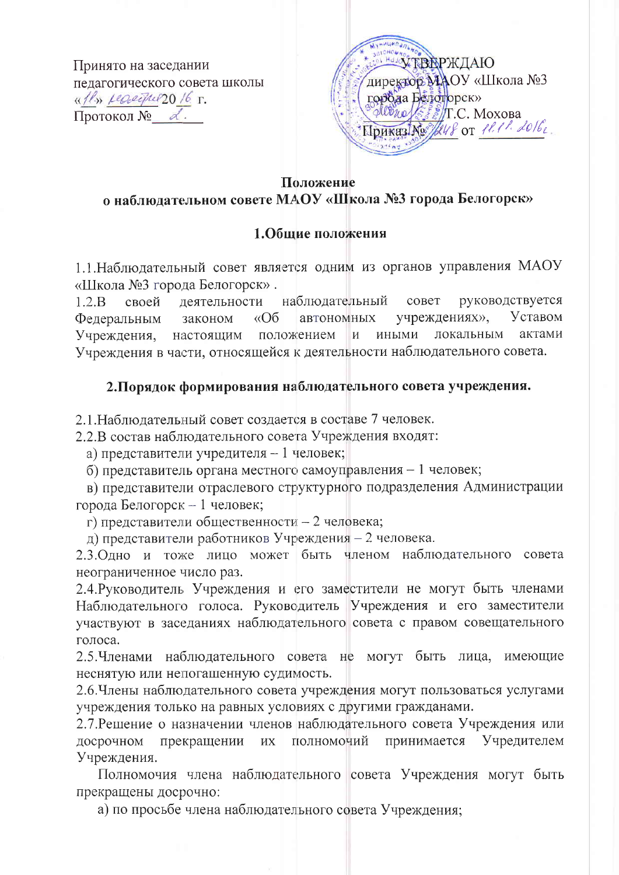Принято на заседании пелагогического совета школы «Il» reserver20 16 r.  $\Pi$ ротокол №  $\alpha$ .



#### Положение

# о наблюдательном совете МАОУ «Школа №3 города Белогорск»

#### 1.Общие положения

1.1. Наблюдательный совет является одним из органов управления МАОУ «Школа №3 города Белогорск».

 $1.2 \text{ B}$ своей леятельности наблюдательный совет руководствуется учреждениях». Уставом  $\triangle$  06 Федеральным автономных законом Учреждения, настоящим положением  $\mathbf{H}$ ИНЫМИ локальным актами Учреждения в части, относящейся к деятельности наблюдательного совета.

### 2. Порядок формирования наблюдательного совета учреждения.

2.1. Наблюдательный совет создается в составе 7 человек.

2.2.В состав наблюдательного совета Учреждения входят:

а) представители учредителя - 1 человек;

б) представитель органа местного самоуправления - 1 человек;

в) представители отраслевого структурного подразделения Администрации города Белогорск - 1 человек;

г) представители общественности - 2 человека;

д) представители работников Учреждения - 2 человека.

2.3. Одно и тоже лицо может быть членом наблюдательного совета неограниченное число раз.

2.4. Руководитель Учреждения и его заместители не могут быть членами Наблюдательного голоса. Руководитель Учреждения и его заместители участвуют в заседаниях наблюдательного совета с правом совещательного голоса.

2.5. Членами наблюдательного совета не могут быть лица, имеющие неснятую или непогашенную судимость.

2.6. Члены наблюдательного совета учреждения могут пользоваться услугами учреждения только на равных условиях с другими гражданами.

2.7. Решение о назначении членов наблюдательного совета Учреждения или досрочном прекращении их полномочий принимается Учредителем Учреждения.

Полномочия члена наблюдательного совета Учреждения могут быть прекращены досрочно:

а) по просьбе члена наблюдательного совета Учреждения;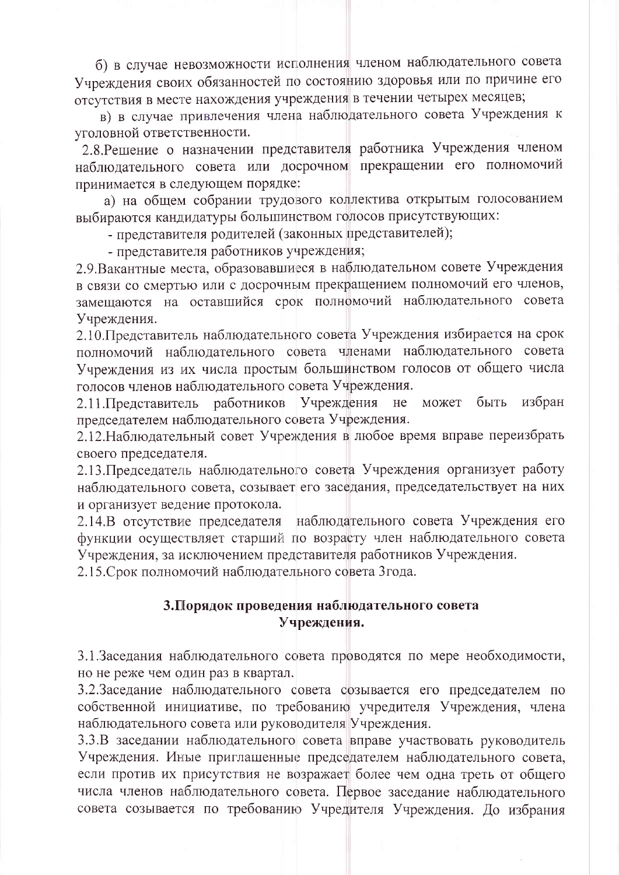б) в случае невозможности исполнения членом наблюдательного совета Учреждения своих обязанностей по состоянию здоровья или по причине его отсутствия в месте нахождения учреждения в течении четырех месяцев;

в) в случае привлечения члена наблюдательного совета Учреждения к уголовной ответственности.

2.8. Решение о назначении представителя работника Учреждения членом наблюдательного совета или досрочном прекращении его полномочий принимается в следующем порядке:

а) на общем собрании трудового коллектива открытым голосованием выбираются кандидатуры большинством голосов присутствующих:

- представителя родителей (законных представителей);

- представителя работников учреждения;

2.9. Вакантные места, образовавшиеся в наблюдательном совете Учреждения в связи со смертью или с досрочным прекращением полномочий его членов, замещаются на оставшийся срок полномочий наблюдательного совета Учреждения.

2.10. Представитель наблюдательного совета Учреждения избирается на срок полномочий наблюдательного совета членами наблюдательного совета Учреждения из их числа простым большинством голосов от общего числа голосов членов наблюдательного совета Учреждения.

2.11. Представитель работников Учреждения не может быть избран председателем наблюдательного совета Учреждения.

2.12. Наблюдательный совет Учреждения в любое время вправе переизбрать своего председателя.

2.13. Председатель наблюдательного совета Учреждения организует работу наблюдательного совета, созывает его заседания, председательствует на них и организует ведение протокола.

2.14.В отсутствие председателя наблюдательного совета Учреждения его функции осуществляет старший по возрасту член наблюдательного совета Учреждения, за исключением представителя работников Учреждения.

2.15. Срок полномочий наблюдательного совета 3 года.

### 3. Порядок проведения наблюдательного совета Учреждения.

3.1. Заседания наблюдательного совета проводятся по мере необходимости, но не реже чем один раз в квартал.

3.2.Заседание наблюдательного совета созывается его председателем по собственной инициативе, по требованию учредителя Учреждения, члена наблюдательного совета или руководителя Учреждения.

3.3.В заседании наблюдательного совета вправе участвовать руководитель Учреждения. Иные приглашенные председателем наблюдательного совета, если против их присутствия не возражает более чем одна треть от общего числа членов наблюдательного совета. Первое заседание наблюдательного совета созывается по требованию Учредителя Учреждения. До избрания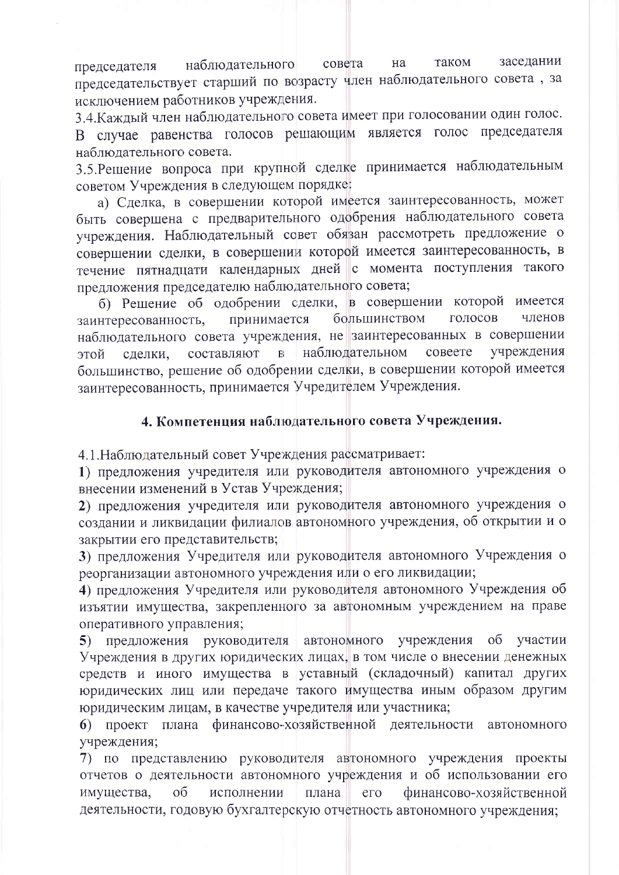таком заседании наблюдательного совета на председателя председательствует старший по возрасту член наблюдательного совета, за исключением работников учреждения.

3.4. Каждый член наблюдательного совета имеет при голосовании один голос. В случае равенства голосов решающим является голос председателя наблюдательного совета.

3.5. Решение вопроса при крупной сделке принимается наблюдательным советом Учреждения в следующем порядке:

а) Сделка, в совершении которой имеется заинтересованность, может быть совершена с предварительного одобрения наблюдательного совета учреждения. Наблюдательный совет обязан рассмотреть предложение о совершении сделки, в совершении которой имеется заинтересованность, в течение пятнадцати календарных дней с момента поступления такого предложения председателю наблюдательного совета;

б) Решение об одобрении сделки, в совершении которой имеется большинством голосов принимается членов заинтересованность, наблюдательного совета учреждения, не заинтересованных в совершении наблюдательном совеете учреждения составляют  $\overline{B}$ сделки, этой большинство, решение об одобрении сделки, в совершении которой имеется заинтересованность, принимается Учредителем Учреждения.

# 4. Компетенция наблюдательного совета Учреждения.

4.1. Наблюдательный совет Учреждения рассматривает:

1) предложения учредителя или руководителя автономного учреждения о внесении изменений в Устав Учреждения;

2) предложения учредителя или руководителя автономного учреждения о создании и ликвидации филиалов автономного учреждения, об открытии и о закрытии его представительств;

3) предложения Учредителя или руководителя автономного Учреждения о реорганизации автономного учреждения или о его ликвидации;

4) предложения Учредителя или руководителя автономного Учреждения об изъятии имущества, закрепленного за автономным учреждением на праве оперативного управления;

5) предложения руководителя автономного учреждения об участии Учреждения в других юридических лицах, в том числе о внесении денежных средств и иного имущества в уставный (складочный) капитал других юридических лиц или передаче такого имущества иным образом другим юридическим лицам, в качестве учредителя или участника;

6) проект плана финансово-хозяйственной деятельности автономного учреждения;

7) по представлению руководителя автономного учреждения проекты отчетов о деятельности автономного учреждения и об использовании его имущества,  $\overline{O}$ исполнении плана  $er$ финансово-хозяйственной деятельности, годовую бухгалтерскую отчетность автономного учреждения;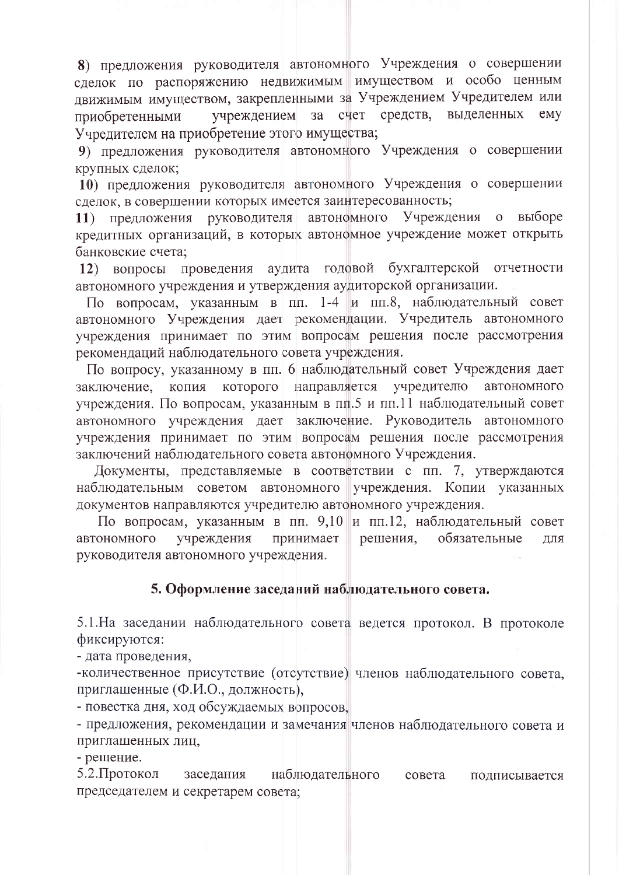8) предложения руководителя автономного Учреждения о совершении сделок по распоряжению недвижимым имуществом и особо ценным движимым имуществом, закрепленными за Учреждением Учредителем или счет средств. выделенных  $3a$ emy учреждением приобретенными Учредителем на приобретение этого имущества;

9) предложения руководителя автономного Учреждения о совершении крупных сделок;

10) предложения руководителя автономного Учреждения о совершении сделок, в совершении которых имеется заинтересованность;

Учреждения выборе 11) предложения руководителя автономного  $\overline{O}$ кредитных организаций, в которых автономное учреждение может открыть банковские счета;

аудита годовой бухгалтерской отчетности 12) вопросы проведения автономного учреждения и утверждения аудиторской организации.

По вопросам, указанным в пп. 1-4 и пп.8, наблюдательный совет автономного Учреждения дает рекомендации. Учредитель автономного учреждения принимает по этим вопросам решения после рассмотрения рекомендаций наблюдательного совета учреждения.

По вопросу, указанному в пп. 6 наблюдательный совет Учреждения дает заключение, копия которого направляется учредителю автономного учреждения. По вопросам, указанным в пп.5 и пп.11 наблюдательный совет автономного учреждения дает заключение. Руководитель автономного учреждения принимает по этим вопросам решения после рассмотрения заключений наблюдательного совета автономного Учреждения.

Документы, представляемые в соответствии с пп. 7, утверждаются наблюдательным советом автономного учреждения. Копии указанных документов направляются учредителю автономного учреждения.

По вопросам, указанным в пп. 9,10 и пп.12, наблюдательный совет учреждения решения, обязательные автономного принимает ДЛЯ руководителя автономного учреждения.

#### 5. Оформление заседаний наблюдательного совета.

5.1. На заседании наблюдательного совета ведется протокол. В протоколе фиксируются:

- дата проведения,

-количественное присутствие (отсутствие) членов наблюдательного совета, приглашенные (Ф.И.О., должность),

- повестка дня, ход обсуждаемых вопросов,

- предложения, рекомендации и замечания членов наблюдательного совета и приглашенных лиц,

- решение.

5.2. Протокол наблюдательного заседания совета подписывается председателем и секретарем совета: